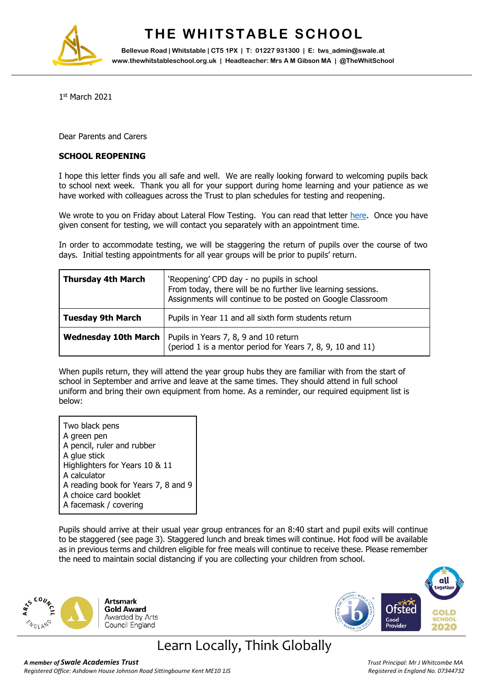

## **THE WHITSTABLE SCHOOL**

**Bellevue Road | Whitstable | CT5 1PX | T: 01227 931300 | E: tws\_admin@swale.at www.thewhitstableschool.org.uk | Headteacher: Mrs A M Gibson MA | @TheWhitSchool**

1 st March 2021

Dear Parents and Carers

## **SCHOOL REOPENING**

I hope this letter finds you all safe and well. We are really looking forward to welcoming pupils back to school next week. Thank you all for your support during home learning and your patience as we have worked with colleagues across the Trust to plan schedules for testing and reopening.

We wrote to you on Friday about Lateral Flow Testing. You can read that letter [here.](https://www.thewhitstableschool.org.uk/images/Library/26.02.2021%20Letter%20Asymptomatic%20Testing.pdf) Once you have given consent for testing, we will contact you separately with an appointment time.

In order to accommodate testing, we will be staggering the return of pupils over the course of two days. Initial testing appointments for all year groups will be prior to pupils' return.

| <b>Thursday 4th March</b>   | 'Reopening' CPD day - no pupils in school<br>From today, there will be no further live learning sessions.<br>Assignments will continue to be posted on Google Classroom |  |
|-----------------------------|-------------------------------------------------------------------------------------------------------------------------------------------------------------------------|--|
| <b>Tuesday 9th March</b>    | Pupils in Year 11 and all sixth form students return                                                                                                                    |  |
| <b>Wednesday 10th March</b> | Pupils in Years 7, 8, 9 and 10 return<br>(period 1 is a mentor period for Years 7, 8, 9, 10 and 11)                                                                     |  |

When pupils return, they will attend the year group hubs they are familiar with from the start of school in September and arrive and leave at the same times. They should attend in full school uniform and bring their own equipment from home. As a reminder, our required equipment list is below:

Two black pens A green pen A pencil, ruler and rubber A glue stick Highlighters for Years 10 & 11 A calculator A reading book for Years 7, 8 and 9 A choice card booklet A facemask / covering

Pupils should arrive at their usual year group entrances for an 8:40 start and pupil exits will continue to be staggered (see page 3). Staggered lunch and break times will continue. Hot food will be available as in previous terms and children eligible for free meals will continue to receive these. Please remember the need to maintain social distancing if you are collecting your children from school.





## Learn Locally, Think Globally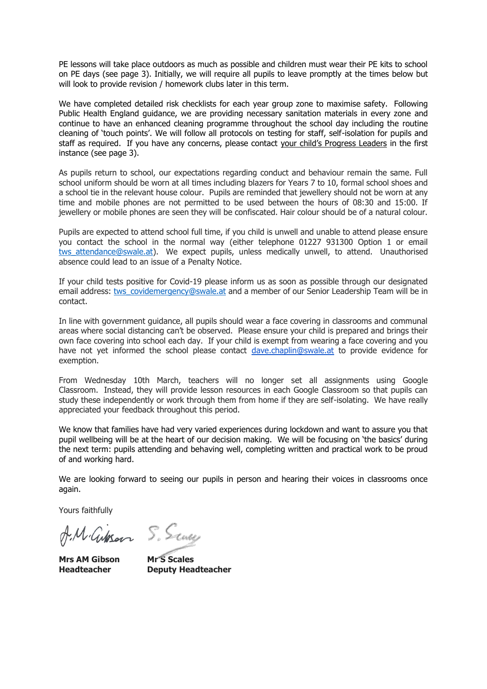PE lessons will take place outdoors as much as possible and children must wear their PE kits to school on PE days (see page 3). Initially, we will require all pupils to leave promptly at the times below but will look to provide revision / homework clubs later in this term.

We have completed detailed risk checklists for each year group zone to maximise safety. Following Public Health England guidance, we are providing necessary sanitation materials in every zone and continue to have an enhanced cleaning programme throughout the school day including the routine cleaning of 'touch points'. We will follow all protocols on testing for staff, self-isolation for pupils and staff as required. If you have any concerns, please contact your child's Progress Leaders in the first instance (see page 3).

As pupils return to school, our expectations regarding conduct and behaviour remain the same. Full school uniform should be worn at all times including blazers for Years 7 to 10, formal school shoes and a school tie in the relevant house colour. Pupils are reminded that jewellery should not be worn at any time and mobile phones are not permitted to be used between the hours of 08:30 and 15:00. If jewellery or mobile phones are seen they will be confiscated. Hair colour should be of a natural colour.

Pupils are expected to attend school full time, if you child is unwell and unable to attend please ensure you contact the school in the normal way (either telephone 01227 931300 Option 1 or email tws attendance@swale.at). We expect pupils, unless medically unwell, to attend. Unauthorised absence could lead to an issue of a Penalty Notice.

If your child tests positive for Covid-19 please inform us as soon as possible through our designated email address: [tws\\_covidemergency@swale.at](mailto:tws_covidemergency@swale.at) and a member of our Senior Leadership Team will be in contact.

In line with government guidance, all pupils should wear a face covering in classrooms and communal areas where social distancing can't be observed. Please ensure your child is prepared and brings their own face covering into school each day. If your child is exempt from wearing a face covering and you have not yet informed the school please contact [dave.chaplin@swale.at](mailto:dave.chaplin@swale.at) to provide evidence for exemption.

From Wednesday 10th March, teachers will no longer set all assignments using Google Classroom. Instead, they will provide lesson resources in each Google Classroom so that pupils can study these independently or work through them from home if they are self-isolating. We have really appreciated your feedback throughout this period.

We know that families have had very varied experiences during lockdown and want to assure you that pupil wellbeing will be at the heart of our decision making. We will be focusing on 'the basics' during the next term: pupils attending and behaving well, completing written and practical work to be proud of and working hard.

We are looking forward to seeing our pupils in person and hearing their voices in classrooms once again.

Yours faithfully

A.M. Gibson S. Sun,

**Mrs AM Gibson Mr S Scales**

**Headteacher Deputy Headteacher**